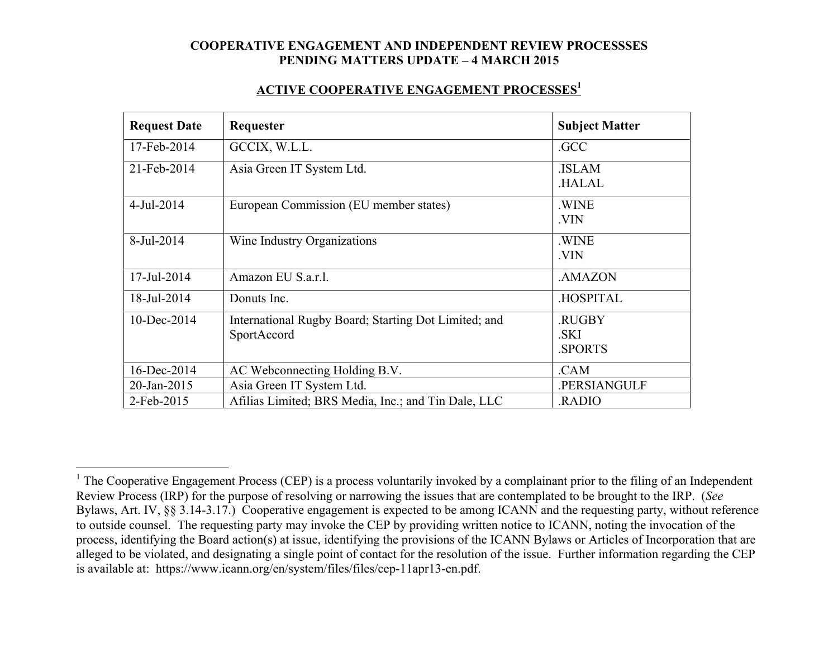### **ACTIVE COOPERATIVE ENGAGEMENT PROCESSES1**

| <b>Request Date</b> | Requester                                                           | <b>Subject Matter</b>                 |
|---------------------|---------------------------------------------------------------------|---------------------------------------|
| 17-Feb-2014         | GCCIX, W.L.L.                                                       | .GCC                                  |
| 21-Feb-2014         | Asia Green IT System Ltd.                                           | <b>ISLAM</b><br><b>HALAL</b>          |
| 4-Jul-2014          | European Commission (EU member states)                              | .WINE<br>.VIN                         |
| 8-Jul-2014          | Wine Industry Organizations                                         | .WINE<br>.VIN                         |
| 17-Jul-2014         | Amazon EU S.a.r.l.                                                  | .AMAZON                               |
| 18-Jul-2014         | Donuts Inc.                                                         | <b>HOSPITAL</b>                       |
| 10-Dec-2014         | International Rugby Board; Starting Dot Limited; and<br>SportAccord | <b>RUGBY</b><br>.SKI<br><b>SPORTS</b> |
| 16-Dec-2014         | AC Webconnecting Holding B.V.                                       | .CAM                                  |
| 20-Jan-2015         | Asia Green IT System Ltd.                                           | .PERSIANGULF                          |
| 2-Feb-2015          | Afilias Limited; BRS Media, Inc.; and Tin Dale, LLC                 | RADIO.                                |

<sup>&</sup>lt;sup>1</sup> The Cooperative Engagement Process (CEP) is a process voluntarily invoked by a complainant prior to the filing of an Independent Review Process (IRP) for the purpose of resolving or narrowing the issues that are contemplated to be brought to the IRP. (*See* Bylaws, Art. IV, §§ 3.14-3.17.) Cooperative engagement is expected to be among ICANN and the requesting party, without reference to outside counsel. The requesting party may invoke the CEP by providing written notice to ICANN, noting the invocation of the process, identifying the Board action(s) at issue, identifying the provisions of the ICANN Bylaws or Articles of Incorporation that are alleged to be violated, and designating a single point of contact for the resolution of the issue. Further information regarding the CEP is available at: https://www.icann.org/en/system/files/files/cep-11apr13-en.pdf.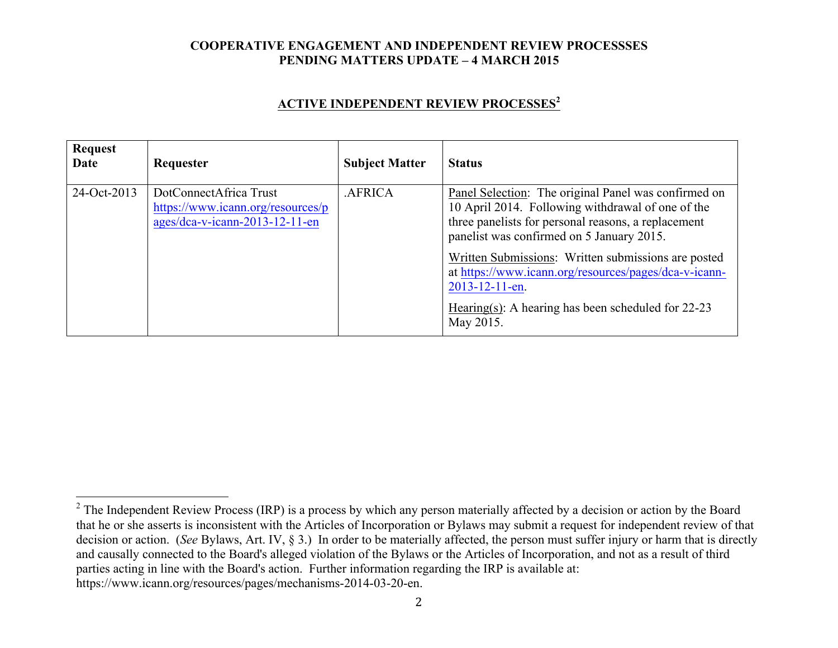# **ACTIVE INDEPENDENT REVIEW PROCESSES<sup>2</sup>**

| <b>Request</b><br>Date | Requester                                                                                     | <b>Subject Matter</b> | <b>Status</b>                                                                                                                                                                                                 |
|------------------------|-----------------------------------------------------------------------------------------------|-----------------------|---------------------------------------------------------------------------------------------------------------------------------------------------------------------------------------------------------------|
| 24-Oct-2013            | DotConnectAfrica Trust<br>https://www.icann.org/resources/p<br>ages/dca-v-icann-2013-12-11-en | <b>AFRICA</b>         | Panel Selection: The original Panel was confirmed on<br>10 April 2014. Following withdrawal of one of the<br>three panelists for personal reasons, a replacement<br>panelist was confirmed on 5 January 2015. |
|                        |                                                                                               |                       | Written Submissions: Written submissions are posted<br>at https://www.icann.org/resources/pages/dca-v-icann-<br>2013-12-11-en.<br>Hearing(s): A hearing has been scheduled for $22-23$<br>May 2015.           |

<sup>&</sup>lt;sup>2</sup> The Independent Review Process (IRP) is a process by which any person materially affected by a decision or action by the Board that he or she asserts is inconsistent with the Articles of Incorporation or Bylaws may submit a request for independent review of that decision or action. (*See* Bylaws, Art. IV, § 3.) In order to be materially affected, the person must suffer injury or harm that is directly and causally connected to the Board's alleged violation of the Bylaws or the Articles of Incorporation, and not as a result of third parties acting in line with the Board's action. Further information regarding the IRP is available at: https://www.icann.org/resources/pages/mechanisms-2014-03-20-en.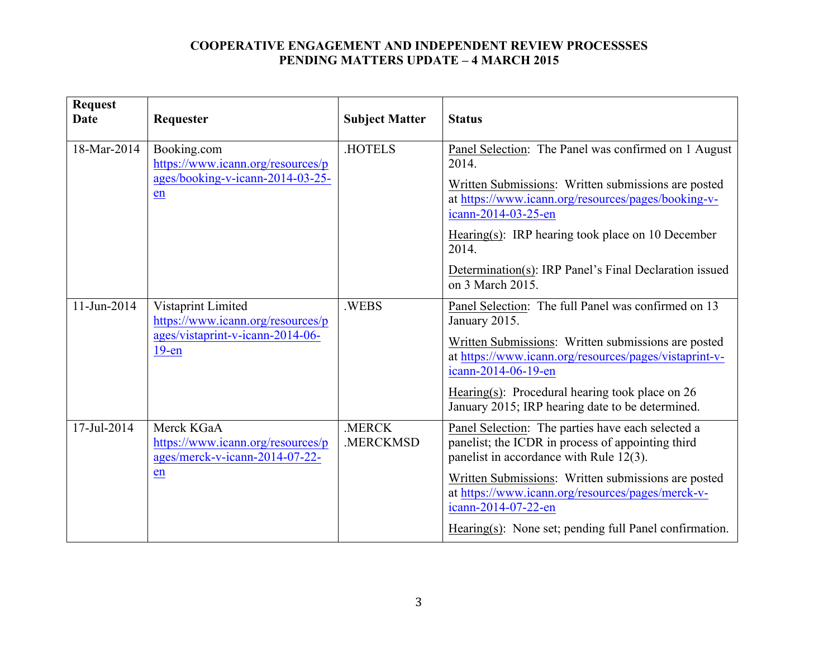| <b>Request</b><br><b>Date</b> | Requester                                                                                  | <b>Subject Matter</b> | <b>Status</b>                                                                                                                                     |
|-------------------------------|--------------------------------------------------------------------------------------------|-----------------------|---------------------------------------------------------------------------------------------------------------------------------------------------|
| 18-Mar-2014                   | Booking.com<br>https://www.icann.org/resources/p<br>ages/booking-v-icann-2014-03-25-<br>en | .HOTELS               | Panel Selection: The Panel was confirmed on 1 August<br>2014.                                                                                     |
|                               |                                                                                            |                       | Written Submissions: Written submissions are posted<br>at https://www.icann.org/resources/pages/booking-v-<br>icann-2014-03-25-en                 |
|                               |                                                                                            |                       | Hearing(s): IRP hearing took place on 10 December<br>2014.                                                                                        |
|                               |                                                                                            |                       | Determination(s): IRP Panel's Final Declaration issued<br>on 3 March 2015.                                                                        |
| 11-Jun-2014                   | Vistaprint Limited<br>https://www.icann.org/resources/p                                    | .WEBS                 | Panel Selection: The full Panel was confirmed on 13<br>January 2015.                                                                              |
|                               | ages/vistaprint-v-icann-2014-06-<br>$19$ -en                                               |                       | Written Submissions: Written submissions are posted<br>at https://www.icann.org/resources/pages/vistaprint-v-<br>icann-2014-06-19-en              |
|                               |                                                                                            |                       | Hearing(s): Procedural hearing took place on $26$<br>January 2015; IRP hearing date to be determined.                                             |
| 17-Jul-2014                   | Merck KGaA<br>https://www.icann.org/resources/p<br>ages/merck-v-icann-2014-07-22-          | .MERCK<br>.MERCKMSD   | Panel Selection: The parties have each selected a<br>panelist; the ICDR in process of appointing third<br>panelist in accordance with Rule 12(3). |
|                               | en                                                                                         |                       | Written Submissions: Written submissions are posted<br>at https://www.icann.org/resources/pages/merck-v-<br>icann-2014-07-22-en                   |
|                               |                                                                                            |                       | Hearing(s): None set; pending full Panel confirmation.                                                                                            |